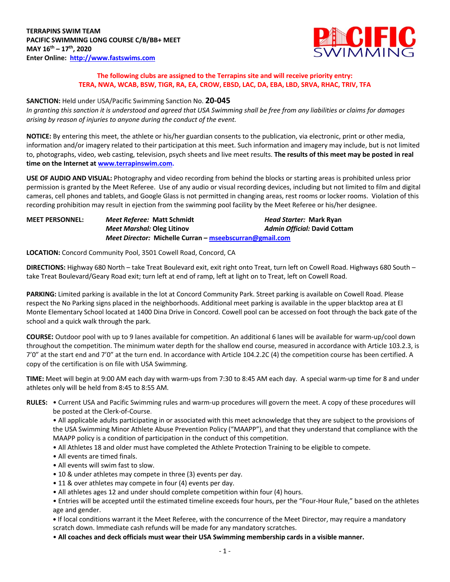

## **The following clubs are assigned to the Terrapins site and will receive priority entry: TERA, NWA, WCAB, BSW, TIGR, RA, EA, CROW, EBSD, LAC, DA, EBA, LBD, SRVA, RHAC, TRIV, TFA**

#### **SANCTION:** Held under USA/Pacific Swimming Sanction No. **20-045**

*In granting this sanction it is understood and agreed that USA Swimming shall be free from any liabilities or claims for damages arising by reason of injuries to anyone during the conduct of the event.*

**NOTICE:** By entering this meet, the athlete or his/her guardian consents to the publication, via electronic, print or other media, information and/or imagery related to their participation at this meet. Such information and imagery may include, but is not limited to, photographs, video, web casting, television, psych sheets and live meet results. **The results of this meet may be posted in real time on the Internet at www.terrapinswim.com.**

**USE OF AUDIO AND VISUAL:** Photography and video recording from behind the blocks or starting areas is prohibited unless prior permission is granted by the Meet Referee. Use of any audio or visual recording devices, including but not limited to film and digital cameras, cell phones and tablets, and Google Glass is not permitted in changing areas, rest rooms or locker rooms. Violation of this recording prohibition may result in ejection from the swimming pool facility by the Meet Referee or his/her designee.

| <b>MEET PERSONNEL:</b> | Meet Referee: Matt Schmidt                              | <i>Head Starter:</i> Mark Ryan |
|------------------------|---------------------------------------------------------|--------------------------------|
|                        | Meet Marshal: Oleg Litinov                              | Admin Official: David Cottam   |
|                        | Meet Director: Michelle Curran – mseebscurran@gmail.com |                                |

**LOCATION:** Concord Community Pool, 3501 Cowell Road, Concord, CA

**DIRECTIONS:** Highway 680 North – take Treat Boulevard exit, exit right onto Treat, turn left on Cowell Road. Highways 680 South – take Treat Boulevard/Geary Road exit; turn left at end of ramp, left at light on to Treat, left on Cowell Road.

**PARKING:** Limited parking is available in the lot at Concord Community Park. Street parking is available on Cowell Road. Please respect the No Parking signs placed in the neighborhoods. Additional meet parking is available in the upper blacktop area at El Monte Elementary School located at 1400 Dina Drive in Concord. Cowell pool can be accessed on foot through the back gate of the school and a quick walk through the park.

**COURSE:** Outdoor pool with up to 9 lanes available for competition. An additional 6 lanes will be available for warm-up/cool down throughout the competition. The minimum water depth for the shallow end course, measured in accordance with Article 103.2.3, is 7'0" at the start end and 7'0" at the turn end. In accordance with Article 104.2.2C (4) the competition course has been certified. A copy of the certification is on file with USA Swimming.

**TIME:** Meet will begin at 9:00 AM each day with warm-ups from 7:30 to 8:45 AM each day. A special warm-up time for 8 and under athletes only will be held from 8:45 to 8:55 AM.

**RULES:** • Current USA and Pacific Swimming rules and warm-up procedures will govern the meet. A copy of these procedures will be posted at the Clerk-of-Course.

• All applicable adults participating in or associated with this meet acknowledge that they are subject to the provisions of the USA Swimming Minor Athlete Abuse Prevention Policy ("MAAPP"), and that they understand that compliance with the MAAPP policy is a condition of participation in the conduct of this competition.

- All Athletes 18 and older must have completed the Athlete Protection Training to be eligible to compete.
- All events are timed finals.
- All events will swim fast to slow.
- 10 & under athletes may compete in three (3) events per day.
- 11 & over athletes may compete in four (4) events per day.
- All athletes ages 12 and under should complete competition within four (4) hours.
- Entries will be accepted until the estimated timeline exceeds four hours, per the "Four-Hour Rule," based on the athletes age and gender.

**•** If local conditions warrant it the Meet Referee, with the concurrence of the Meet Director, may require a mandatory scratch down. Immediate cash refunds will be made for any mandatory scratches.

• **All coaches and deck officials must wear their USA Swimming membership cards in a visible manner.**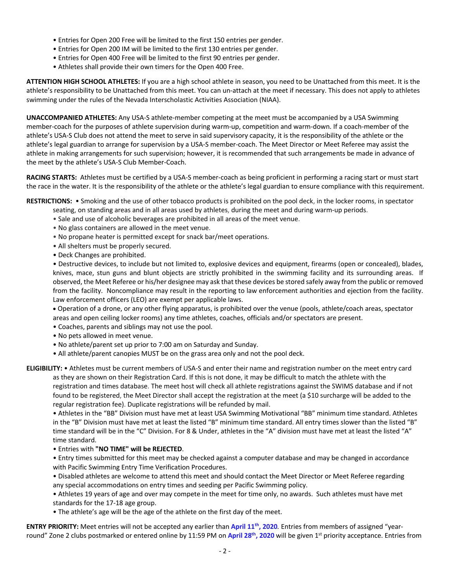- Entries for Open 200 Free will be limited to the first 150 entries per gender.
- Entries for Open 200 IM will be limited to the first 130 entries per gender.
- Entries for Open 400 Free will be limited to the first 90 entries per gender.
- Athletes shall provide their own timers for the Open 400 Free.

**ATTENTION HIGH SCHOOL ATHLETES:** If you are a high school athlete in season, you need to be Unattached from this meet. It is the athlete's responsibility to be Unattached from this meet. You can un-attach at the meet if necessary. This does not apply to athletes swimming under the rules of the Nevada Interscholastic Activities Association (NIAA).

**UNACCOMPANIED ATHLETES:** Any USA-S athlete-member competing at the meet must be accompanied by a USA Swimming member-coach for the purposes of athlete supervision during warm-up, competition and warm-down. If a coach-member of the athlete's USA-S Club does not attend the meet to serve in said supervisory capacity, it is the responsibility of the athlete or the athlete's legal guardian to arrange for supervision by a USA-S member-coach. The Meet Director or Meet Referee may assist the athlete in making arrangements for such supervision; however, it is recommended that such arrangements be made in advance of the meet by the athlete's USA-S Club Member-Coach.

**RACING STARTS:** Athletes must be certified by a USA-S member-coach as being proficient in performing a racing start or must start the race in the water. It is the responsibility of the athlete or the athlete's legal guardian to ensure compliance with this requirement.

**RESTRICTIONS:** • Smoking and the use of other tobacco products is prohibited on the pool deck, in the locker rooms, in spectator

- seating, on standing areas and in all areas used by athletes, during the meet and during warm-up periods.
- Sale and use of alcoholic beverages are prohibited in all areas of the meet venue.
- No glass containers are allowed in the meet venue.
- No propane heater is permitted except for snack bar/meet operations.
- All shelters must be properly secured.
- Deck Changes are prohibited.

• Destructive devices, to include but not limited to, explosive devices and equipment, firearms (open or concealed), blades, knives, mace, stun guns and blunt objects are strictly prohibited in the swimming facility and its surrounding areas. If observed, the Meet Referee or his/her designee may ask that these devices be stored safely away from the public or removed from the facility. Noncompliance may result in the reporting to law enforcement authorities and ejection from the facility. Law enforcement officers (LEO) are exempt per applicable laws.

• Operation of a drone, or any other flying apparatus, is prohibited over the venue (pools, athlete/coach areas, spectator areas and open ceiling locker rooms) any time athletes, coaches, officials and/or spectators are present.

- Coaches, parents and siblings may not use the pool.
- No pets allowed in meet venue.
- No athlete/parent set up prior to 7:00 am on Saturday and Sunday.
- All athlete/parent canopies MUST be on the grass area only and not the pool deck.

**ELIGIBILITY:** • Athletes must be current members of USA-S and enter their name and registration number on the meet entry card as they are shown on their Registration Card. If this is not done, it may be difficult to match the athlete with the registration and times database. The meet host will check all athlete registrations against the SWIMS database and if not found to be registered, the Meet Director shall accept the registration at the meet (a \$10 surcharge will be added to the regular registration fee). Duplicate registrations will be refunded by mail.

• Athletes in the "BB" Division must have met at least USA Swimming Motivational "BB" minimum time standard. Athletes in the "B" Division must have met at least the listed "B" minimum time standard. All entry times slower than the listed "B" time standard will be in the "C" Division. For 8 & Under, athletes in the "A" division must have met at least the listed "A" time standard.

#### • Entries with **"NO TIME" will be REJECTED**.

• Entry times submitted for this meet may be checked against a computer database and may be changed in accordance with Pacific Swimming Entry Time Verification Procedures.

• Disabled athletes are welcome to attend this meet and should contact the Meet Director or Meet Referee regarding any special accommodations on entry times and seeding per Pacific Swimming policy.

• Athletes 19 years of age and over may compete in the meet for time only, no awards. Such athletes must have met standards for the 17-18 age group.

• The athlete's age will be the age of the athlete on the first day of the meet.

**ENTRY PRIORITY:** Meet entries will not be accepted any earlier than April 11<sup>th</sup>, 2020. Entries from members of assigned "yearround" Zone 2 clubs postmarked or entered online by 11:59 PM on **April 28th, 2020** will be given 1st priority acceptance. Entries from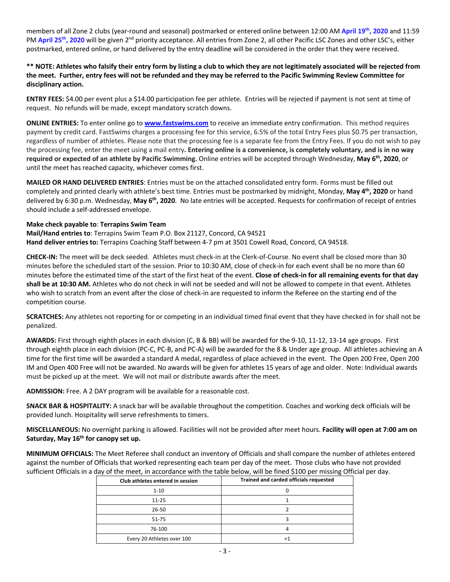members of all Zone 2 clubs (year-round and seasonal) postmarked or entered online between 12:00 AM **April 19th, 2020** and 11:59 PM April 25<sup>th</sup>, 2020 will be given 2<sup>nd</sup> priority acceptance. All entries from Zone 2, all other Pacific LSC Zones and other LSC's, either postmarked, entered online, or hand delivered by the entry deadline will be considered in the order that they were received.

# **\*\* NOTE: Athletes who falsify their entry form by listing a club to which they are not legitimately associated will be rejected from the meet. Further, entry fees will not be refunded and they may be referred to the Pacific Swimming Review Committee for disciplinary action.**

**ENTRY FEES:** \$4.00 per event plus a \$14.00 participation fee per athlete. Entries will be rejected if payment is not sent at time of request. No refunds will be made, except mandatory scratch downs.

**ONLINE ENTRIES:** To enter online go to **www.fastswims.com** to receive an immediate entry confirmation. This method requires payment by credit card. FastSwims charges a processing fee for this service, 6.5% of the total Entry Fees plus \$0.75 per transaction, regardless of number of athletes. Please note that the processing fee is a separate fee from the Entry Fees. If you do not wish to pay the processing fee, enter the meet using a mail entry**. Entering online is a convenience, is completely voluntary, and is in no way required or expected of an athlete by Pacific Swimming.** Online entries will be accepted through Wednesday, **May 6th, 2020**, or until the meet has reached capacity, whichever comes first.

**MAILED OR HAND DELIVERED ENTRIES**: Entries must be on the attached consolidated entry form. Forms must be filled out completely and printed clearly with athlete's best time. Entries must be postmarked by midnight, Monday, **May 4th, 2020** or hand delivered by 6:30 p.m. Wednesday, **May 6th, 2020**. No late entries will be accepted. Requests for confirmation of receipt of entries should include a self-addressed envelope.

# **Make check payable to**: **Terrapins Swim Team**

**Mail/Hand entries to**: Terrapins Swim Team P.O. Box 21127, Concord, CA 94521 **Hand deliver entries to:** Terrapins Coaching Staff between 4-7 pm at 3501 Cowell Road, Concord, CA 94518.

**CHECK-IN:** The meet will be deck seeded. Athletes must check-in at the Clerk-of-Course. No event shall be closed more than 30 minutes before the scheduled start of the session. Prior to 10:30 AM, close of check-in for each event shall be no more than 60 minutes before the estimated time of the start of the first heat of the event. **Close of check-in for all remaining events for that day shall be at 10:30 AM.** Athletes who do not check in will not be seeded and will not be allowed to compete in that event. Athletes who wish to scratch from an event after the close of check-in are requested to inform the Referee on the starting end of the competition course.

**SCRATCHES:** Any athletes not reporting for or competing in an individual timed final event that they have checked in for shall not be penalized.

**AWARDS:** First through eighth places in each division (C, B & BB) will be awarded for the 9-10, 11-12, 13-14 age groups. First through eighth place in each division (PC-C, PC-B, and PC-A) will be awarded for the 8 & Under age group. All athletes achieving an A time for the first time will be awarded a standard A medal, regardless of place achieved in the event. The Open 200 Free, Open 200 IM and Open 400 Free will not be awarded. No awards will be given for athletes 15 years of age and older. Note: Individual awards must be picked up at the meet. We will not mail or distribute awards after the meet.

**ADMISSION:** Free. A 2 DAY program will be available for a reasonable cost.

**SNACK BAR & HOSPITALITY:** A snack bar will be available throughout the competition. Coaches and working deck officials will be provided lunch. Hospitality will serve refreshments to timers.

**MISCELLANEOUS:** No overnight parking is allowed. Facilities will not be provided after meet hours. **Facility will open at 7:00 am on Saturday, May 16th for canopy set up.** 

**MINIMUM OFFICIALS:** The Meet Referee shall conduct an inventory of Officials and shall compare the number of athletes entered against the number of Officials that worked representing each team per day of the meet. Those clubs who have not provided sufficient Officials in a day of the meet, in accordance with the table below, will be fined \$100 per missing Official per day.

| Club athletes entered in session | Trained and carded officials requested |  |  |  |  |  |
|----------------------------------|----------------------------------------|--|--|--|--|--|
| $1 - 10$                         |                                        |  |  |  |  |  |
| $11 - 25$                        |                                        |  |  |  |  |  |
| $26 - 50$                        |                                        |  |  |  |  |  |
| 51-75                            |                                        |  |  |  |  |  |
| 76-100                           |                                        |  |  |  |  |  |
| Every 20 Athletes over 100       |                                        |  |  |  |  |  |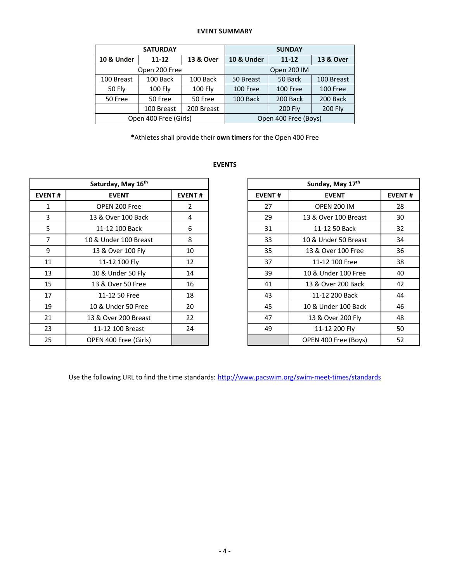## **EVENT SUMMARY**

|               | <b>SATURDAY</b>       |            | <b>SUNDAY</b>         |                |                      |  |  |
|---------------|-----------------------|------------|-----------------------|----------------|----------------------|--|--|
| 10 & Under    | $11 - 12$             | 13 & Over  | <b>10 &amp; Under</b> | $11 - 12$      | <b>13 &amp; Over</b> |  |  |
|               | Open 200 Free         |            | Open 200 IM           |                |                      |  |  |
| 100 Breast    | 100 Back              | 100 Back   | 50 Breast             | 50 Back        | 100 Breast           |  |  |
| <b>50 Fly</b> | <b>100 Fly</b>        | $100$ Fly  | 100 Free              | 100 Free       | 100 Free             |  |  |
| 50 Free       | 50 Free<br>50 Free    |            | 100 Back              | 200 Back       | 200 Back             |  |  |
|               | 100 Breast            | 200 Breast |                       | <b>200 Fly</b> | <b>200 Fly</b>       |  |  |
|               | Open 400 Free (Girls) |            | Open 400 Free (Boys)  |                |                      |  |  |

**\***Athletes shall provide their **own timers** for the Open 400 Free

#### **EVENTS**

| Saturday, May 16th |                       |                |               | Sunday, May 17th     |               |  |
|--------------------|-----------------------|----------------|---------------|----------------------|---------------|--|
| <b>EVENT#</b>      | <b>EVENT</b>          | <b>EVENT#</b>  | <b>EVENT#</b> | <b>EVENT</b>         | <b>EVENT#</b> |  |
| 1                  | OPEN 200 Free         | $\overline{2}$ | 27            | <b>OPEN 200 IM</b>   | 28            |  |
| 3                  | 13 & Over 100 Back    | 4              | 29            | 13 & Over 100 Breast | 30            |  |
| 5                  | 11-12 100 Back        | 6              | 31            | 11-12 50 Back        | 32            |  |
| 7                  | 10 & Under 100 Breast | 8              | 33            | 10 & Under 50 Breast | 34            |  |
| 9                  | 13 & Over 100 Fly     | 10             | 35            | 13 & Over 100 Free   | 36            |  |
| 11                 | 11-12 100 Fly         | 12             | 37            | 11-12 100 Free       | 38            |  |
| 13                 | 10 & Under 50 Fly     | 14             | 39            | 10 & Under 100 Free  | 40            |  |
| 15                 | 13 & Over 50 Free     | 16             | 41            | 13 & Over 200 Back   | 42            |  |
| 17                 | 11-12 50 Free         | 18             | 43            | 11-12 200 Back       | 44            |  |
| 19                 | 10 & Under 50 Free    | 20             | 45            | 10 & Under 100 Back  | 46            |  |
| 21                 | 13 & Over 200 Breast  | 22             | 47            | 13 & Over 200 Fly    | 48            |  |
| 23                 | 11-12 100 Breast      | 24             | 49            | 11-12 200 Fly        | 50            |  |
| 25                 | OPEN 400 Free (Girls) |                |               | OPEN 400 Free (Boys) | 52            |  |

| Sunday, May 17th |                      |    |  |  |  |  |  |
|------------------|----------------------|----|--|--|--|--|--|
| <b>EVENT#</b>    | <b>EVENT</b>         |    |  |  |  |  |  |
| 27               | <b>OPEN 200 IM</b>   | 28 |  |  |  |  |  |
| 29               | 13 & Over 100 Breast | 30 |  |  |  |  |  |
| 31               | 11-12 50 Back        | 32 |  |  |  |  |  |
| 33               | 10 & Under 50 Breast | 34 |  |  |  |  |  |
| 35               | 13 & Over 100 Free   | 36 |  |  |  |  |  |
| 37               | 11-12 100 Free       | 38 |  |  |  |  |  |
| 39               | 10 & Under 100 Free  | 40 |  |  |  |  |  |
| 41               | 13 & Over 200 Back   | 42 |  |  |  |  |  |
| 43               | 11-12 200 Back       | 44 |  |  |  |  |  |
| 45               | 10 & Under 100 Back  | 46 |  |  |  |  |  |
| 47               | 13 & Over 200 Fly    | 48 |  |  |  |  |  |
| 49               | 11-12 200 Fly        | 50 |  |  |  |  |  |
|                  | OPEN 400 Free (Boys) | 52 |  |  |  |  |  |

Use the following URL to find the time standards: http://www.pacswim.org/swim-meet-times/standards